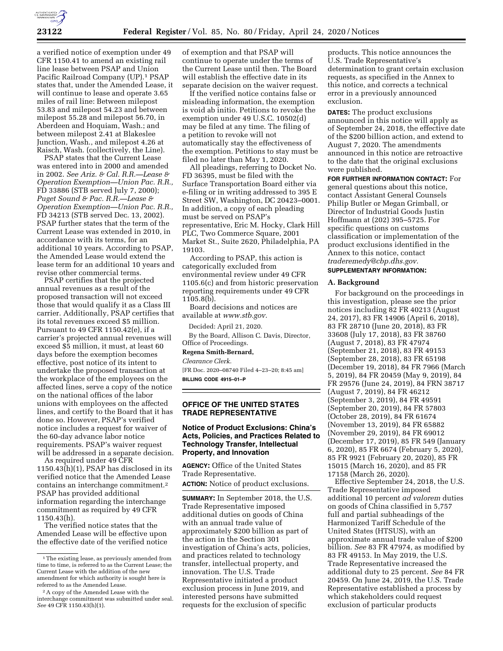

a verified notice of exemption under 49 CFR 1150.41 to amend an existing rail line lease between PSAP and Union Pacific Railroad Company (UP).1 PSAP states that, under the Amended Lease, it will continue to lease and operate 3.65 miles of rail line: Between milepost 53.83 and milepost 54.23 and between milepost 55.28 and milepost 56.70, in Aberdeen and Hoquiam, Wash.; and between milepost 2.41 at Blakeslee Junction, Wash., and milepost 4.26 at Raisch, Wash. (collectively, the Line).

PSAP states that the Current Lease was entered into in 2000 and amended in 2002. *See Ariz. & Cal. R.R.—Lease & Operation Exemption—Union Pac. R.R.,*  FD 33886 (STB served July 7, 2000); *Puget Sound & Pac. R.R.—Lease & Operation Exemption—Union Pac. R.R.,*  FD 34213 (STB served Dec. 13, 2002). PSAP further states that the term of the Current Lease was extended in 2010, in accordance with its terms, for an additional 10 years. According to PSAP, the Amended Lease would extend the lease term for an additional 10 years and revise other commercial terms.

PSAP certifies that the projected annual revenues as a result of the proposed transaction will not exceed those that would qualify it as a Class III carrier. Additionally, PSAP certifies that its total revenues exceed \$5 million. Pursuant to 49 CFR 1150.42(e), if a carrier's projected annual revenues will exceed \$5 million, it must, at least 60 days before the exemption becomes effective, post notice of its intent to undertake the proposed transaction at the workplace of the employees on the affected lines, serve a copy of the notice on the national offices of the labor unions with employees on the affected lines, and certify to the Board that it has done so. However, PSAP's verified notice includes a request for waiver of the 60-day advance labor notice requirements. PSAP's waiver request will be addressed in a separate decision.

As required under 49 CFR 1150.43(h)(1), PSAP has disclosed in its verified notice that the Amended Lease contains an interchange commitment.2 PSAP has provided additional information regarding the interchange commitment as required by 49 CFR 1150.43(h).

The verified notice states that the Amended Lease will be effective upon the effective date of the verified notice

of exemption and that PSAP will continue to operate under the terms of the Current Lease until then. The Board will establish the effective date in its separate decision on the waiver request.

If the verified notice contains false or misleading information, the exemption is void ab initio. Petitions to revoke the exemption under 49 U.S.C. 10502(d) may be filed at any time. The filing of a petition to revoke will not automatically stay the effectiveness of the exemption. Petitions to stay must be filed no later than May 1, 2020.

All pleadings, referring to Docket No. FD 36395, must be filed with the Surface Transportation Board either via e-filing or in writing addressed to 395 E Street SW, Washington, DC 20423–0001. In addition, a copy of each pleading must be served on PSAP's representative, Eric M. Hocky, Clark Hill PLC, Two Commerce Square, 2001 Market St., Suite 2620, Philadelphia, PA 19103.

According to PSAP, this action is categorically excluded from environmental review under 49 CFR 1105.6(c) and from historic preservation reporting requirements under 49 CFR 1105.8(b).

Board decisions and notices are available at *[www.stb.gov.](http://www.stb.gov)* 

Decided: April 21, 2020.

By the Board, Allison C. Davis, Director, Office of Proceedings.

## **Regena Smith-Bernard,**

*Clearance Clerk.* 

[FR Doc. 2020–08740 Filed 4–23–20; 8:45 am] **BILLING CODE 4915–01–P** 

### **OFFICE OF THE UNITED STATES TRADE REPRESENTATIVE**

## **Notice of Product Exclusions: China's Acts, Policies, and Practices Related to Technology Transfer, Intellectual Property, and Innovation**

**AGENCY:** Office of the United States Trade Representative.

**ACTION:** Notice of product exclusions.

**SUMMARY:** In September 2018, the U.S. Trade Representative imposed additional duties on goods of China with an annual trade value of approximately \$200 billion as part of the action in the Section 301 investigation of China's acts, policies, and practices related to technology transfer, intellectual property, and innovation. The U.S. Trade Representative initiated a product exclusion process in June 2019, and interested persons have submitted requests for the exclusion of specific

products. This notice announces the U.S. Trade Representative's determination to grant certain exclusion requests, as specified in the Annex to this notice, and corrects a technical error in a previously announced exclusion.

**DATES:** The product exclusions announced in this notice will apply as of September 24, 2018, the effective date of the \$200 billion action, and extend to August 7, 2020. The amendments announced in this notice are retroactive to the date that the original exclusions were published.

**FOR FURTHER INFORMATION CONTACT:** For general questions about this notice, contact Assistant General Counsels Philip Butler or Megan Grimball, or Director of Industrial Goods Justin Hoffmann at (202) 395–5725. For specific questions on customs classification or implementation of the product exclusions identified in the Annex to this notice, contact *[traderemedy@cbp.dhs.gov.](mailto:traderemedy@cbp.dhs.gov)* 

# **SUPPLEMENTARY INFORMATION:**

### **A. Background**

For background on the proceedings in this investigation, please see the prior notices including 82 FR 40213 (August 24, 2017), 83 FR 14906 (April 6, 2018), 83 FR 28710 (June 20, 2018), 83 FR 33608 (July 17, 2018), 83 FR 38760 (August 7, 2018), 83 FR 47974 (September 21, 2018), 83 FR 49153 (September 28, 2018), 83 FR 65198 (December 19, 2018), 84 FR 7966 (March 5, 2019), 84 FR 20459 (May 9, 2019), 84 FR 29576 (June 24, 2019), 84 FRN 38717 (August 7, 2019), 84 FR 46212 (September 3, 2019), 84 FR 49591 (September 20, 2019), 84 FR 57803 (October 28, 2019), 84 FR 61674 (November 13, 2019), 84 FR 65882 (November 29, 2019), 84 FR 69012 (December 17, 2019), 85 FR 549 (January 6, 2020), 85 FR 6674 (February 5, 2020), 85 FR 9921 (February 20, 2020), 85 FR 15015 (March 16, 2020), and 85 FR 17158 (March 26, 2020).

Effective September 24, 2018, the U.S. Trade Representative imposed additional 10 percent *ad valorem* duties on goods of China classified in 5,757 full and partial subheadings of the Harmonized Tariff Schedule of the United States (HTSUS), with an approximate annual trade value of \$200 billion. *See* 83 FR 47974, as modified by 83 FR 49153. In May 2019, the U.S. Trade Representative increased the additional duty to 25 percent. *See* 84 FR 20459. On June 24, 2019, the U.S. Trade Representative established a process by which stakeholders could request exclusion of particular products

<sup>1</sup>The existing lease, as previously amended from time to time, is referred to as the Current Lease; the Current Lease with the addition of the new amendment for which authority is sought here is referred to as the Amended Lease.

<sup>2</sup>A copy of the Amended Lease with the interchange commitment was submitted under seal. *See* 49 CFR 1150.43(h)(1).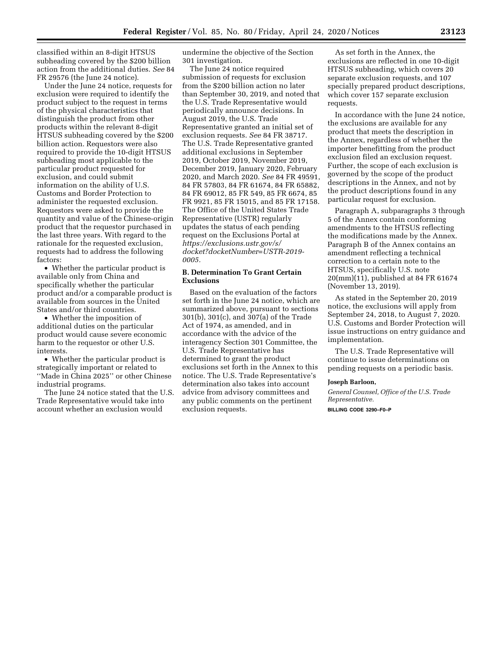classified within an 8-digit HTSUS subheading covered by the \$200 billion action from the additional duties. *See* 84 FR 29576 (the June 24 notice).

Under the June 24 notice, requests for exclusion were required to identify the product subject to the request in terms of the physical characteristics that distinguish the product from other products within the relevant 8-digit HTSUS subheading covered by the \$200 billion action. Requestors were also required to provide the 10-digit HTSUS subheading most applicable to the particular product requested for exclusion, and could submit information on the ability of U.S. Customs and Border Protection to administer the requested exclusion. Requestors were asked to provide the quantity and value of the Chinese-origin product that the requestor purchased in the last three years. With regard to the rationale for the requested exclusion, requests had to address the following factors:

• Whether the particular product is available only from China and specifically whether the particular product and/or a comparable product is available from sources in the United States and/or third countries.

• Whether the imposition of additional duties on the particular product would cause severe economic harm to the requestor or other U.S. interests.

• Whether the particular product is strategically important or related to ''Made in China 2025'' or other Chinese industrial programs.

The June 24 notice stated that the U.S. Trade Representative would take into account whether an exclusion would

undermine the objective of the Section 301 investigation.

The June 24 notice required submission of requests for exclusion from the \$200 billion action no later than September 30, 2019, and noted that the U.S. Trade Representative would periodically announce decisions. In August 2019, the U.S. Trade Representative granted an initial set of exclusion requests. *See* 84 FR 38717. The U.S. Trade Representative granted additional exclusions in September 2019, October 2019, November 2019, December 2019, January 2020, February 2020, and March 2020. *See* 84 FR 49591, 84 FR 57803, 84 FR 61674, 84 FR 65882, 84 FR 69012, 85 FR 549, 85 FR 6674, 85 FR 9921, 85 FR 15015, and 85 FR 17158. The Office of the United States Trade Representative (USTR) regularly updates the status of each pending request on the Exclusions Portal at *[https://exclusions.ustr.gov/s/](https://exclusions.ustr.gov/s/docket?docketNumber=USTR-2019-0005) [docket?docketNumber=USTR-2019-](https://exclusions.ustr.gov/s/docket?docketNumber=USTR-2019-0005) [0005.](https://exclusions.ustr.gov/s/docket?docketNumber=USTR-2019-0005)* 

## **B. Determination To Grant Certain Exclusions**

Based on the evaluation of the factors set forth in the June 24 notice, which are summarized above, pursuant to sections 301(b), 301(c), and 307(a) of the Trade Act of 1974, as amended, and in accordance with the advice of the interagency Section 301 Committee, the U.S. Trade Representative has determined to grant the product exclusions set forth in the Annex to this notice. The U.S. Trade Representative's determination also takes into account advice from advisory committees and any public comments on the pertinent exclusion requests.

As set forth in the Annex, the exclusions are reflected in one 10-digit HTSUS subheading, which covers 20 separate exclusion requests, and 107 specially prepared product descriptions, which cover 157 separate exclusion requests.

In accordance with the June 24 notice, the exclusions are available for any product that meets the description in the Annex, regardless of whether the importer benefitting from the product exclusion filed an exclusion request. Further, the scope of each exclusion is governed by the scope of the product descriptions in the Annex, and not by the product descriptions found in any particular request for exclusion.

Paragraph A, subparagraphs 3 through 5 of the Annex contain conforming amendments to the HTSUS reflecting the modifications made by the Annex. Paragraph B of the Annex contains an amendment reflecting a technical correction to a certain note to the HTSUS, specifically U.S. note 20(mm)(11), published at 84 FR 61674 (November 13, 2019).

As stated in the September 20, 2019 notice, the exclusions will apply from September 24, 2018, to August 7, 2020. U.S. Customs and Border Protection will issue instructions on entry guidance and implementation.

The U.S. Trade Representative will continue to issue determinations on pending requests on a periodic basis.

#### **Joseph Barloon,**

*General Counsel, Office of the U.S. Trade Representative.*  **BILLING CODE 3290–F0–P**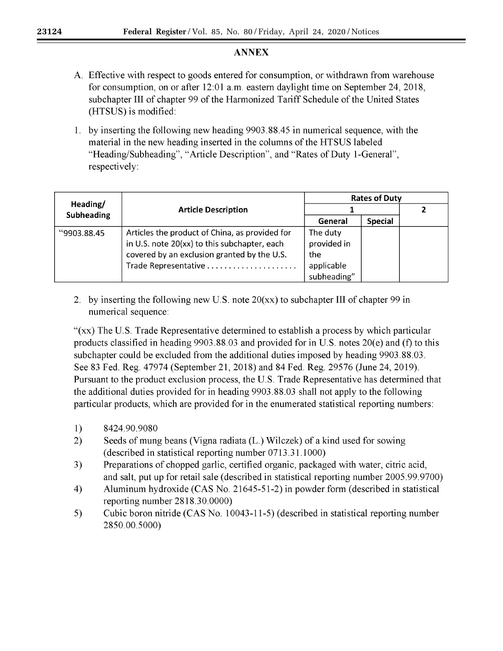# **ANNEX**

- A. Effective with respect to goods entered for consumption, or withdrawn from warehouse for consumption, on or after  $12:01$  a.m. eastern daylight time on September 24, 2018. subchapter III of chapter 99 of the Harmonized Tariff Schedule of the United States (HTSUS) is modified:
- 1. by inserting the following new heading 9903.88.45 in numerical sequence, with the material in the new heading inserted in the columns of the HTSUS labeled "Heading/Subheading", "Article Description", and "Rates of Duty 1-General", respectively:

|                   | <b>Article Description</b>                                                                                                                    | <b>Rates of Duty</b>                                        |                |  |
|-------------------|-----------------------------------------------------------------------------------------------------------------------------------------------|-------------------------------------------------------------|----------------|--|
| Heading/          |                                                                                                                                               |                                                             |                |  |
| <b>Subheading</b> |                                                                                                                                               | General                                                     | <b>Special</b> |  |
| "9903.88.45"      | Articles the product of China, as provided for<br>in U.S. note 20(xx) to this subchapter, each<br>covered by an exclusion granted by the U.S. | The duty<br>provided in<br>the<br>applicable<br>subheading" |                |  |

2. by inserting the following new U.S. note  $20(xx)$  to subchapter III of chapter 99 in numerical sequence:

"(xx) The U.S. Trade Representative determined to establish a process by which particular products classified in heading 9903.88.03 and provided for in U.S. notes 20(e) and (f) to this subchapter could be excluded from the additional duties imposed by heading 9903.88.03. See 83 Fed. Reg. 47974 (September 21, 2018) and 84 Fed. Reg. 29576 (June 24, 2019). Pursuant to the product exclusion process, the U.S. Trade Representative has determined that the additional duties provided for in heading 9903.88.03 shall not apply to the following particular products, which are provided for in the enumerated statistical reporting numbers:

- $1)$ 8424.90.9080
- $2)$ Seeds of mung beans (Vigna radiata (L.) Wilczek) of a kind used for sowing (described in statistical reporting number 0713.31.1000)
- 3) Preparations of chopped garlic, certified organic, packaged with water, citric acid, and salt, put up for retail sale (described in statistical reporting number 2005.99.9700)
- 4) Aluminum hydroxide (CAS No. 21645-51-2) in powder form (described in statistical reporting number 2818.30.0000)
- $5)$ Cubic boron nitride (CAS No. 10043-11-5) (described in statistical reporting number 2850.00.5000)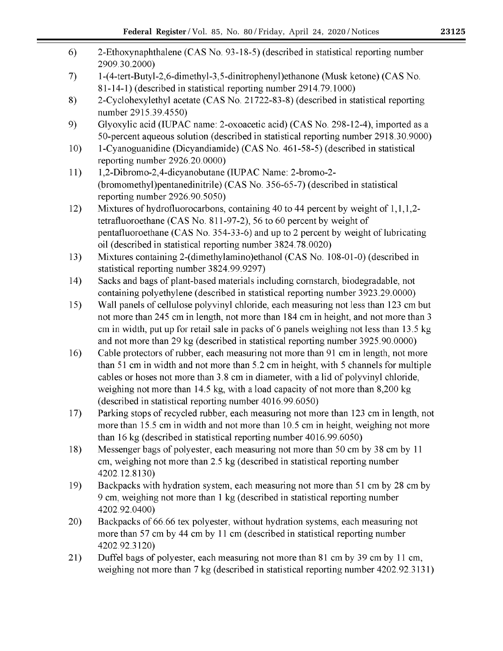| 6)  | 2-Ethoxynaphthalene (CAS No. 93-18-5) (described in statistical reporting number<br>2909.30.2000)                                                                       |
|-----|-------------------------------------------------------------------------------------------------------------------------------------------------------------------------|
| 7)  | 1-(4-tert-Butyl-2,6-dimethyl-3,5-dinitrophenyl) ethanone (Musk ketone) (CAS No.<br>81-14-1) (described in statistical reporting number 2914.79.1000)                    |
| 8)  | 2-Cyclohexylethyl acetate (CAS No. 21722-83-8) (described in statistical reporting<br>number 2915.39.4550)                                                              |
| 9)  | Glyoxylic acid (IUPAC name: 2-oxoacetic acid) (CAS No. 298-12-4), imported as a<br>50-percent aqueous solution (described in statistical reporting number 2918.30.9000) |
| 10) | 1-Cyanoguanidine (Dicyandiamide) (CAS No. 461-58-5) (described in statistical<br>reporting number 2926.20.0000)                                                         |
| 11) | 1,2-Dibromo-2,4-dicyanobutane (IUPAC Name: 2-bromo-2-                                                                                                                   |
|     | (bromomethyl) pentaned initrile) (CAS No. 356-65-7) (described in statistical                                                                                           |
|     | reporting number 2926.90.5050)                                                                                                                                          |
| 12) | Mixtures of hydrofluorocarbons, containing 40 to 44 percent by weight of 1,1,1,2-                                                                                       |
|     | tetrafluoroethane (CAS No. 811-97-2), 56 to 60 percent by weight of                                                                                                     |
|     | pentafluoroethane (CAS No. 354-33-6) and up to 2 percent by weight of lubricating                                                                                       |
|     | oil (described in statistical reporting number 3824.78.0020)                                                                                                            |
| 13) | Mixtures containing 2-(dimethylamino)ethanol (CAS No. 108-01-0) (described in                                                                                           |
|     | statistical reporting number 3824.99.9297)                                                                                                                              |
| 14) | Sacks and bags of plant-based materials including cornstarch, biodegradable, not                                                                                        |
|     | containing polyethylene (described in statistical reporting number 3923.29.0000)                                                                                        |
| 15) | Wall panels of cellulose polyvinyl chloride, each measuring not less than 123 cm but                                                                                    |
|     | not more than 245 cm in length, not more than 184 cm in height, and not more than 3                                                                                     |
|     | cm in width, put up for retail sale in packs of 6 panels weighing not less than 13.5 kg                                                                                 |
|     | and not more than 29 kg (described in statistical reporting number 3925.90.0000)                                                                                        |
| 16) | Cable protectors of rubber, each measuring not more than 91 cm in length, not more                                                                                      |
|     | than 51 cm in width and not more than 5.2 cm in height, with 5 channels for multiple                                                                                    |
|     | cables or hoses not more than 3.8 cm in diameter, with a lid of polyvinyl chloride,                                                                                     |
|     | weighing not more than 14.5 kg, with a load capacity of not more than 8,200 kg                                                                                          |
|     | (described in statistical reporting number 4016.99.6050)                                                                                                                |
| 17) | Parking stops of recycled rubber, each measuring not more than 123 cm in length, not                                                                                    |
|     | more than 15.5 cm in width and not more than 10.5 cm in height, weighing not more                                                                                       |
|     | than 16 kg (described in statistical reporting number 4016.99.6050)                                                                                                     |
| 18) | Messenger bags of polyester, each measuring not more than 50 cm by 38 cm by 11                                                                                          |
|     | cm, weighing not more than 2.5 kg (described in statistical reporting number                                                                                            |
|     | 4202.12.8130)                                                                                                                                                           |
| 19) | Backpacks with hydration system, each measuring not more than 51 cm by 28 cm by                                                                                         |
|     | 9 cm, weighing not more than 1 kg (described in statistical reporting number                                                                                            |
|     | 4202.92.0400)                                                                                                                                                           |
| 20) | Backpacks of 66.66 tex polyester, without hydration systems, each measuring not                                                                                         |
|     | more than 57 cm by 44 cm by 11 cm (described in statistical reporting number<br>4202.92.3120)                                                                           |
| 21) | Duffel bags of polyester, each measuring not more than 81 cm by 39 cm by 11 cm,                                                                                         |
|     | weighing not more than 7 kg (described in statistical reporting number 4202.92.3131)                                                                                    |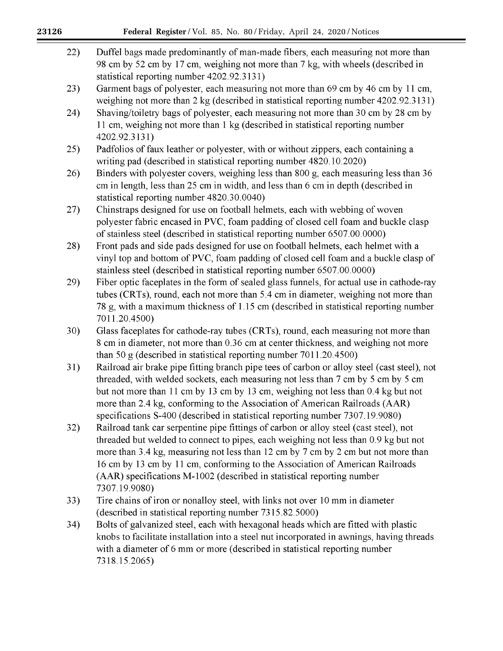| 22) | Duffel bags made predominantly of man-made fibers, each measuring not more than<br>98 cm by 52 cm by 17 cm, weighing not more than 7 kg, with wheels (described in<br>statistical reporting number 4202.92.3131)                                                                                                                                                                                                                             |
|-----|----------------------------------------------------------------------------------------------------------------------------------------------------------------------------------------------------------------------------------------------------------------------------------------------------------------------------------------------------------------------------------------------------------------------------------------------|
| 23) | Garment bags of polyester, each measuring not more than 69 cm by 46 cm by 11 cm,<br>weighing not more than 2 kg (described in statistical reporting number 4202.92.3131)                                                                                                                                                                                                                                                                     |
| 24) | Shaving/toiletry bags of polyester, each measuring not more than 30 cm by 28 cm by<br>11 cm, weighing not more than 1 kg (described in statistical reporting number<br>4202.92.3131)                                                                                                                                                                                                                                                         |
| 25) | Padfolios of faux leather or polyester, with or without zippers, each containing a<br>writing pad (described in statistical reporting number 4820.10.2020)                                                                                                                                                                                                                                                                                   |
| 26) | Binders with polyester covers, weighing less than 800 g, each measuring less than 36<br>cm in length, less than 25 cm in width, and less than 6 cm in depth (described in<br>statistical reporting number 4820.30.0040)                                                                                                                                                                                                                      |
| 27) | Chinstraps designed for use on football helmets, each with webbing of woven<br>polyester fabric encased in PVC, foam padding of closed cell foam and buckle clasp<br>of stainless steel (described in statistical reporting number 6507.00.0000)                                                                                                                                                                                             |
| 28) | Front pads and side pads designed for use on football helmets, each helmet with a<br>vinyl top and bottom of PVC, foam padding of closed cell foam and a buckle clasp of<br>stainless steel (described in statistical reporting number 6507.00.0000)                                                                                                                                                                                         |
| 29) | Fiber optic faceplates in the form of sealed glass funnels, for actual use in cathode-ray<br>tubes (CRTs), round, each not more than 5.4 cm in diameter, weighing not more than<br>78 g, with a maximum thickness of 1.15 cm (described in statistical reporting number<br>7011.20.4500)                                                                                                                                                     |
| 30) | Glass faceplates for cathode-ray tubes (CRTs), round, each measuring not more than<br>8 cm in diameter, not more than 0.36 cm at center thickness, and weighing not more<br>than 50 $g$ (described in statistical reporting number 7011.20.4500)                                                                                                                                                                                             |
| 31) | Railroad air brake pipe fitting branch pipe tees of carbon or alloy steel (cast steel), not<br>threaded, with welded sockets, each measuring not less than 7 cm by 5 cm by 5 cm<br>but not more than 11 cm by 13 cm by 13 cm, weighing not less than 0.4 kg but not<br>more than 2.4 kg, conforming to the Association of American Railroads (AAR)<br>specifications S-400 (described in statistical reporting number 7307.19.9080)          |
| 32) | Railroad tank car serpentine pipe fittings of carbon or alloy steel (cast steel), not<br>threaded but welded to connect to pipes, each weighing not less than 0.9 kg but not<br>more than 3.4 kg, measuring not less than 12 cm by 7 cm by 2 cm but not more than<br>16 cm by 13 cm by 11 cm, conforming to the Association of American Railroads<br>(AAR) specifications M-1002 (described in statistical reporting number<br>7307.19.9080) |
| 33) | Tire chains of iron or nonalloy steel, with links not over 10 mm in diameter<br>(described in statistical reporting number 7315.82.5000)                                                                                                                                                                                                                                                                                                     |
| 34) | Bolts of galvanized steel, each with hexagonal heads which are fitted with plastic<br>knobs to facilitate installation into a steel nut incorporated in awnings, having threads<br>with a diameter of 6 mm or more (described in statistical reporting number<br>7318.15.2065)                                                                                                                                                               |
|     |                                                                                                                                                                                                                                                                                                                                                                                                                                              |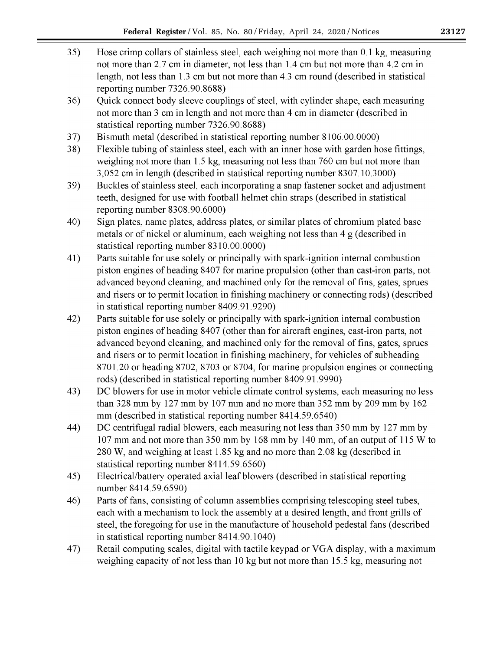- 35) Hose crimp collars of stainless steel, each weighing not more than 0.1 kg, measuring not more than 2.7 cm in diameter, not less than 1.4 cm but not more than 4.2 cm in length, not less than 1.3 cm but not more than 4.3 cm round (described in statistical reporting number 7326.90.8688)
- 36) Quick connect body sleeve couplings of steel, with cylinder shape, each measuring not more than 3 cm in length and not more than 4 cm in diameter (described in statistical reporting number 7326.90.8688)
- 37) Bismuth metal (described in statistical reporting number 8106.00.0000)
- 38) Flexible tubing of stainless steel, each with an inner hose with garden hose fittings, weighing not more than 1.5 kg, measuring not less than 760 cm but not more than 3,052 cm in length (described in statistical reporting number 8307.10.3000)
- 39) Buckles of stainless steel, each incorporating a snap fastener socket and adjustment teeth, designed for use with football helmet chin straps (described in statistical reporting number 8308.90.6000)
- 40) Sign plates, name plates, address plates, or similar plates of chromium plated base metals or of nickel or aluminum, each weighing not less than 4 g (described in statistical reporting number 8310.00.0000)
- 41) Parts suitable for use solely or principally with spark-ignition internal combustion piston engines of heading 8407 for marine propulsion (other than cast-iron parts, not advanced beyond cleaning, and machined only for the removal of fins, gates, sprues and risers or to permit location in finishing machinery or connecting rods) (described in statistical reporting number 8409.91.9290)
- Parts suitable for use solely or principally with spark-ignition internal combustion 42) piston engines of heading 8407 (other than for aircraft engines, cast-iron parts, not advanced beyond cleaning, and machined only for the removal of fins, gates, sprues and risers or to permit location in finishing machinery, for vehicles of subheading 8701.20 or heading 8702, 8703 or 8704, for marine propulsion engines or connecting rods) (described in statistical reporting number 8409.91.9990)
- 43) DC blowers for use in motor vehicle climate control systems, each measuring no less than 328 mm by 127 mm by 107 mm and no more than  $352$  mm by 209 mm by 162 mm (described in statistical reporting number 8414.59.6540)
- DC centrifugal radial blowers, each measuring not less than 350 mm by 127 mm by 44) 107 mm and not more than 350 mm by 168 mm by 140 mm, of an output of 115 W to 280 W, and weighing at least 1.85 kg and no more than 2.08 kg (described in statistical reporting number 8414.59.6560)
- 45) Electrical/battery operated axial leaf blowers (described in statistical reporting number 8414.59.6590)
- Parts of fans, consisting of column assemblies comprising telescoping steel tubes, 46) each with a mechanism to lock the assembly at a desired length, and front grills of steel, the foregoing for use in the manufacture of household pedestal fans (described in statistical reporting number 8414.90.1040)
- 47) Retail computing scales, digital with tactile keypad or VGA display, with a maximum weighing capacity of not less than 10 kg but not more than 15.5 kg, measuring not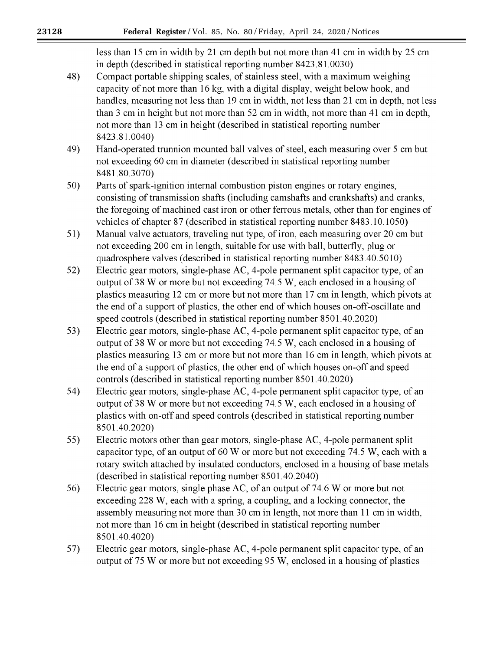less than 15 cm in width by 21 cm depth but not more than 41 cm in width by 25 cm in depth (described in statistical reporting number 8423.81.0030)

- 48) Compact portable shipping scales, of stainless steel, with a maximum weighing capacity of not more than 16 kg, with a digital display, weight below hook, and handles, measuring not less than 19 cm in width, not less than 21 cm in depth, not less than 3 cm in height but not more than 52 cm in width, not more than 41 cm in depth, not more than 13 cm in height (described in statistical reporting number 8423.81.0040)
- 49) Hand-operated trunnion mounted ball valves of steel, each measuring over 5 cm but not exceeding 60 cm in diameter (described in statistical reporting number 8481.80.3070)
- $50)$ Parts of spark-ignition internal combustion piston engines or rotary engines, consisting of transmission shafts (including camshafts and crankshafts) and cranks, the foregoing of machined cast iron or other ferrous metals, other than for engines of vehicles of chapter 87 (described in statistical reporting number 8483.10.1050)
- $51)$ Manual valve actuators, traveling nut type, of iron, each measuring over 20 cm but not exceeding 200 cm in length, suitable for use with ball, butterfly, plug or quadrosphere valves (described in statistical reporting number 8483.40.5010)
- $52)$ Electric gear motors, single-phase AC, 4-pole permanent split capacitor type, of an output of 38 W or more but not exceeding 74.5 W, each enclosed in a housing of plastics measuring 12 cm or more but not more than 17 cm in length, which pivots at the end of a support of plastics, the other end of which houses on-off-oscillate and speed controls (described in statistical reporting number 8501.40.2020)
- $53)$ Electric gear motors, single-phase AC, 4-pole permanent split capacitor type, of an output of 38 W or more but not exceeding 74.5 W, each enclosed in a housing of plastics measuring 13 cm or more but not more than 16 cm in length, which pivots at the end of a support of plastics, the other end of which houses on-off and speed controls (described in statistical reporting number 8501.40.2020)
- 54) Electric gear motors, single-phase AC, 4-pole permanent split capacitor type, of an output of 38 W or more but not exceeding 74.5 W, each enclosed in a housing of plastics with on-off and speed controls (described in statistical reporting number 8501.40.2020)
- 55) Electric motors other than gear motors, single-phase AC, 4-pole permanent split capacitor type, of an output of 60 W or more but not exceeding 74.5 W, each with a rotary switch attached by insulated conductors, enclosed in a housing of base metals (described in statistical reporting number 8501.40.2040)
- Electric gear motors, single phase AC, of an output of 74.6 W or more but not 56) exceeding 228 W, each with a spring, a coupling, and a locking connector, the assembly measuring not more than 30 cm in length, not more than 11 cm in width, not more than 16 cm in height (described in statistical reporting number 8501.40.4020)
- 57) Electric gear motors, single-phase AC, 4-pole permanent split capacitor type, of an output of 75 W or more but not exceeding 95 W, enclosed in a housing of plastics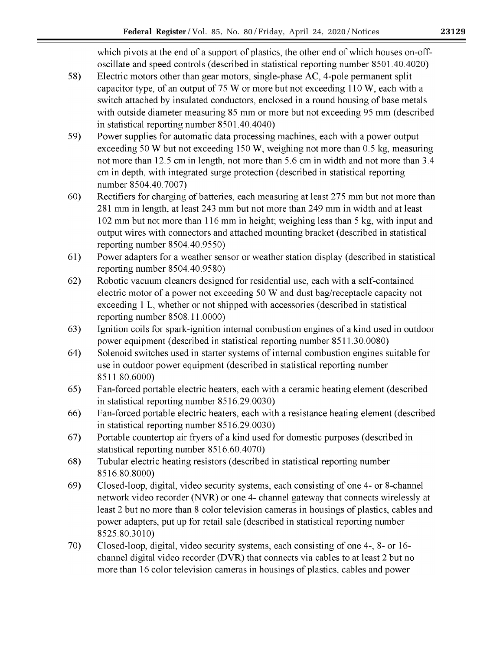which pivots at the end of a support of plastics, the other end of which houses on-offoscillate and speed controls (described in statistical reporting number 8501.40.4020)

- 58) Electric motors other than gear motors, single-phase AC, 4-pole permanent split capacitor type, of an output of 75 W or more but not exceeding 110 W, each with a switch attached by insulated conductors, enclosed in a round housing of base metals with outside diameter measuring 85 mm or more but not exceeding 95 mm (described in statistical reporting number 8501.40.4040)
- 59) Power supplies for automatic data processing machines, each with a power output exceeding 50 W but not exceeding 150 W, weighing not more than 0.5 kg, measuring not more than 12.5 cm in length, not more than 5.6 cm in width and not more than 3.4 cm in depth, with integrated surge protection (described in statistical reporting number 8504.40.7007)
- $60)$ Rectifiers for charging of batteries, each measuring at least 275 mm but not more than 281 mm in length, at least 243 mm but not more than 249 mm in width and at least 102 mm but not more than 116 mm in height; weighing less than 5 kg, with input and output wires with connectors and attached mounting bracket (described in statistical reporting number 8504.40.9550)
- 61) Power adapters for a weather sensor or weather station display (described in statistical reporting number 8504.40.9580)
- $62)$ Robotic vacuum cleaners designed for residential use, each with a self-contained electric motor of a power not exceeding 50 W and dust bag/receptacle capacity not exceeding 1 L, whether or not shipped with accessories (described in statistical reporting number 8508.11.0000)
- 63) Ignition coils for spark-ignition internal combustion engines of a kind used in outdoor power equipment (described in statistical reporting number 8511.30.0080)
- 64) Solenoid switches used in starter systems of internal combustion engines suitable for use in outdoor power equipment (described in statistical reporting number 8511.80.6000)
- 65) Fan-forced portable electric heaters, each with a ceramic heating element (described in statistical reporting number 8516.29.0030)
- 66) Fan-forced portable electric heaters, each with a resistance heating element (described in statistical reporting number 8516.29.0030)
- Portable countertop air fryers of a kind used for domestic purposes (described in 67) statistical reporting number 8516.60.4070)
- 68) Tubular electric heating resistors (described in statistical reporting number 8516.80.8000)
- 69) Closed-loop, digital, video security systems, each consisting of one 4- or 8-channel network video recorder (NVR) or one 4- channel gateway that connects wirelessly at least 2 but no more than 8 color television cameras in housings of plastics, cables and power adapters, put up for retail sale (described in statistical reporting number 8525.80.3010)
- 70) Closed-loop, digital, video security systems, each consisting of one 4-, 8- or 16channel digital video recorder (DVR) that connects via cables to at least 2 but no more than 16 color television cameras in housings of plastics, cables and power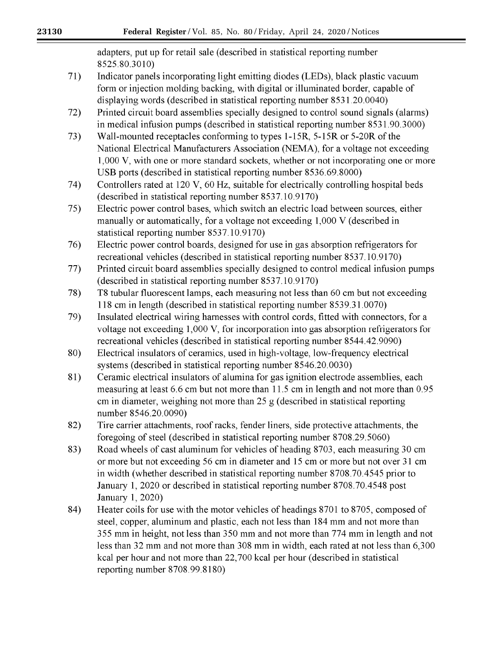adapters, put up for retail sale (described in statistical reporting number 8525.80.3010)

- $71)$ Indicator panels incorporating light emitting diodes (LEDs), black plastic vacuum form or injection molding backing, with digital or illuminated border, capable of displaying words (described in statistical reporting number 8531.20.0040)
- $72)$ Printed circuit board assemblies specially designed to control sound signals (alarms) in medical infusion pumps (described in statistical reporting number 8531.90.3000)
- $73)$ Wall-mounted receptacles conforming to types 1-15R, 5-15R or 5-20R of the National Electrical Manufacturers Association (NEMA), for a voltage not exceeding 1,000 V, with one or more standard sockets, whether or not incorporating one or more USB ports (described in statistical reporting number 8536.69.8000)
- Controllers rated at 120 V, 60 Hz, suitable for electrically controlling hospital beds 74) (described in statistical reporting number 8537.10.9170)
- Electric power control bases, which switch an electric load between sources, either  $75)$ manually or automatically, for a voltage not exceeding 1,000 V (described in statistical reporting number 8537.10.9170)
- 76) Electric power control boards, designed for use in gas absorption refrigerators for recreational vehicles (described in statistical reporting number 8537.10.9170)
- 77) Printed circuit board assemblies specially designed to control medical infusion pumps (described in statistical reporting number 8537.10.9170)
- T8 tubular fluorescent lamps, each measuring not less than 60 cm but not exceeding 78) 118 cm in length (described in statistical reporting number 8539.31.0070)
- 79) Insulated electrical wiring harnesses with control cords, fitted with connectors, for a voltage not exceeding 1,000 V, for incorporation into gas absorption refrigerators for recreational vehicles (described in statistical reporting number 8544.42.9090)
- 80) Electrical insulators of ceramics, used in high-voltage, low-frequency electrical systems (described in statistical reporting number 8546.20.0030)
- 81) Ceramic electrical insulators of alumina for gas ignition electrode assemblies, each measuring at least 6.6 cm but not more than 11.5 cm in length and not more than 0.95 cm in diameter, weighing not more than  $25 g$  (described in statistical reporting number 8546.20.0090)
- 82) Tire carrier attachments, roof racks, fender liners, side protective attachments, the foregoing of steel (described in statistical reporting number 8708.29.5060)
- Road wheels of cast aluminum for vehicles of heading 8703, each measuring 30 cm 83) or more but not exceeding 56 cm in diameter and 15 cm or more but not over 31 cm in width (whether described in statistical reporting number 8708.70.4545 prior to January 1, 2020 or described in statistical reporting number 8708.70.4548 post January 1, 2020)
- Heater coils for use with the motor vehicles of headings 8701 to 8705, composed of 84) steel, copper, aluminum and plastic, each not less than 184 mm and not more than 355 mm in height, not less than 350 mm and not more than 774 mm in length and not less than 32 mm and not more than 308 mm in width, each rated at not less than 6,300 kcal per hour and not more than 22,700 kcal per hour (described in statistical reporting number 8708.99.8180)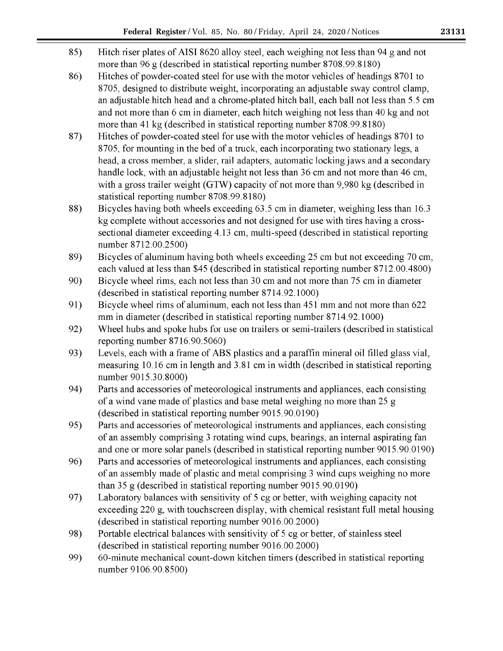- 85) Hitch riser plates of AISI 8620 alloy steel, each weighing not less than 94 g and not more than 96 g (described in statistical reporting number 8708.99.8180)
- 86) Hitches of powder-coated steel for use with the motor vehicles of headings 8701 to 8705, designed to distribute weight, incorporating an adjustable sway control clamp, an adjustable hitch head and a chrome-plated hitch ball, each ball not less than 5.5 cm and not more than 6 cm in diameter, each hitch weighing not less than 40 kg and not more than 41 kg (described in statistical reporting number 8708.99.8180)
- 87) Hitches of powder-coated steel for use with the motor vehicles of headings 8701 to 8705, for mounting in the bed of a truck, each incorporating two stationary legs, a head, a cross member, a slider, rail adapters, automatic locking jaws and a secondary handle lock, with an adjustable height not less than 36 cm and not more than 46 cm. with a gross trailer weight (GTW) capacity of not more than 9,980 kg (described in statistical reporting number 8708.99.8180)
- 88) Bicycles having both wheels exceeding 63.5 cm in diameter, weighing less than 16.3 kg complete without accessories and not designed for use with tires having a crosssectional diameter exceeding 4.13 cm, multi-speed (described in statistical reporting number 8712.00.2500)
- 89) Bicycles of aluminum having both wheels exceeding 25 cm but not exceeding 70 cm, each valued at less than \$45 (described in statistical reporting number 8712.00.4800)
- 90) Bicycle wheel rims, each not less than 30 cm and not more than 75 cm in diameter (described in statistical reporting number 8714.92.1000)
- 91) Bicycle wheel rims of aluminum, each not less than 451 mm and not more than 622 mm in diameter (described in statistical reporting number 8714.92.1000)
- 92) Wheel hubs and spoke hubs for use on trailers or semi-trailers (described in statistical reporting number 8716.90.5060)
- 93) Levels, each with a frame of ABS plastics and a paraffin mineral oil filled glass vial, measuring 10.16 cm in length and 3.81 cm in width (described in statistical reporting number 9015.30.8000)
- 94) Parts and accessories of meteorological instruments and appliances, each consisting of a wind vane made of plastics and base metal weighing no more than 25 g (described in statistical reporting number 9015.90.0190)
- 95) Parts and accessories of meteorological instruments and appliances, each consisting of an assembly comprising 3 rotating wind cups, bearings, an internal aspirating fan and one or more solar panels (described in statistical reporting number 9015.90.0190)
- 96) Parts and accessories of meteorological instruments and appliances, each consisting of an assembly made of plastic and metal comprising 3 wind cups weighing no more than  $35 \text{ g}$  (described in statistical reporting number 9015.90.0190)
- 97) Laboratory balances with sensitivity of 5 cg or better, with weighing capacity not exceeding 220 g, with touchscreen display, with chemical resistant full metal housing (described in statistical reporting number 9016.00.2000)
- 98) Portable electrical balances with sensitivity of 5 cg or better, of stainless steel (described in statistical reporting number 9016.00.2000)
- 99) 60-minute mechanical count-down kitchen timers (described in statistical reporting number 9106.90.8500)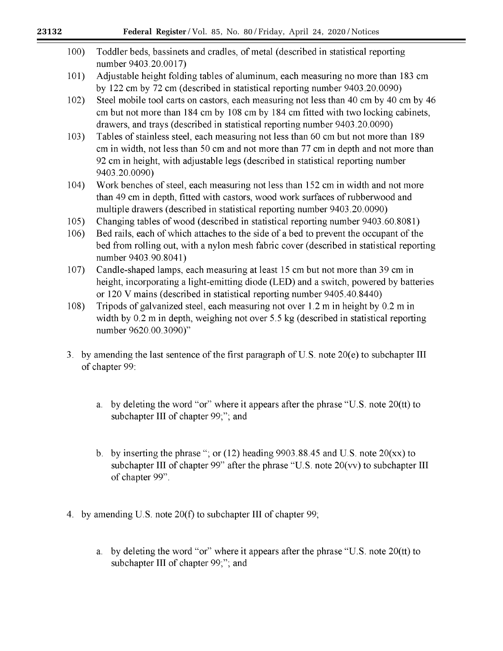| 100) | Toddler beds, bassinets and cradles, of metal (described in statistical reporting<br>number 9403.20.0017)                                                                                                                                                                       |
|------|---------------------------------------------------------------------------------------------------------------------------------------------------------------------------------------------------------------------------------------------------------------------------------|
| 101) | Adjustable height folding tables of aluminum, each measuring no more than 183 cm<br>by 122 cm by 72 cm (described in statistical reporting number 9403.20.0090)                                                                                                                 |
| 102) | Steel mobile tool carts on castors, each measuring not less than 40 cm by 40 cm by 46<br>cm but not more than 184 cm by 108 cm by 184 cm fitted with two locking cabinets,<br>drawers, and trays (described in statistical reporting number 9403.20.0090)                       |
| 103) | Tables of stainless steel, each measuring not less than 60 cm but not more than 189<br>cm in width, not less than 50 cm and not more than 77 cm in depth and not more than<br>92 cm in height, with adjustable legs (described in statistical reporting number<br>9403.20.0090) |
| 104) | Work benches of steel, each measuring not less than 152 cm in width and not more<br>than 49 cm in depth, fitted with castors, wood work surfaces of rubberwood and<br>multiple drawers (described in statistical reporting number 9403.20.0090)                                 |
| 105) | Changing tables of wood (described in statistical reporting number 9403.60.8081)                                                                                                                                                                                                |
| 106) | Bed rails, each of which attaches to the side of a bed to prevent the occupant of the<br>bed from rolling out, with a nylon mesh fabric cover (described in statistical reporting<br>number 9403.90.8041)                                                                       |
| 107) | Candle-shaped lamps, each measuring at least 15 cm but not more than 39 cm in<br>height, incorporating a light-emitting diode (LED) and a switch, powered by batteries<br>or 120 V mains (described in statistical reporting number 9405.40.8440)                               |

- Tripods of galvanized steel, each measuring not over 1.2 m in height by 0.2 m in  $108)$ width by 0.2 m in depth, weighing not over 5.5 kg (described in statistical reporting number 9620.00.3090)"
- 3. by amending the last sentence of the first paragraph of U.S. note 20(e) to subchapter III of chapter 99:
	- a. by deleting the word "or" where it appears after the phrase "U.S. note 20(tt) to subchapter III of chapter 99;"; and
	- b. by inserting the phrase "; or (12) heading  $9903.88.45$  and U.S. note  $20(xx)$  to subchapter III of chapter 99" after the phrase "U.S. note 20(vv) to subchapter III of chapter 99".
- 4. by amending U.S. note 20(f) to subchapter III of chapter 99;
	- a. by deleting the word "or" where it appears after the phrase "U.S. note 20(tt) to subchapter III of chapter 99;"; and